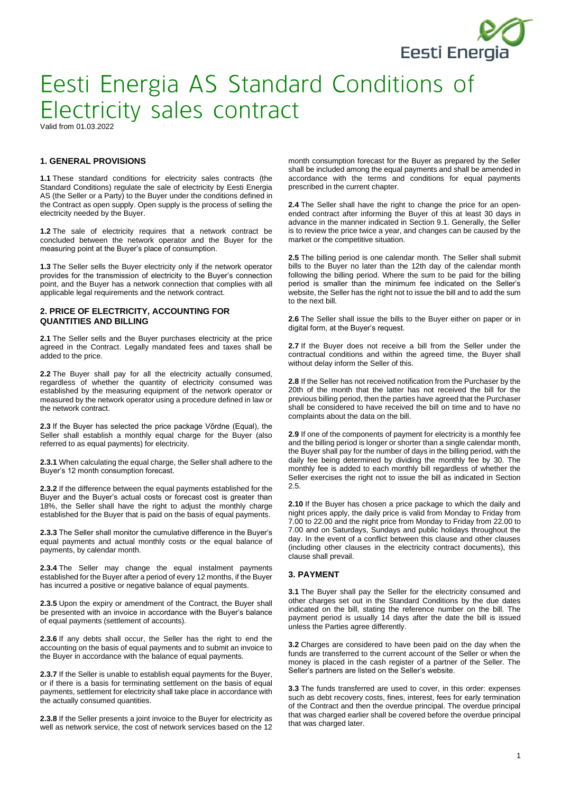

Valid from 01.03.2022

### **1. GENERAL PROVISIONS**

**1.1** These standard conditions for electricity sales contracts (the Standard Conditions) regulate the sale of electricity by Eesti Energia AS (the Seller or a Party) to the Buyer under the conditions defined in the Contract as open supply. Open supply is the process of selling the electricity needed by the Buyer.

**1.2** The sale of electricity requires that a network contract be concluded between the network operator and the Buyer for the measuring point at the Buyer's place of consumption.

**1.3** The Seller sells the Buyer electricity only if the network operator provides for the transmission of electricity to the Buyer's connection point, and the Buyer has a network connection that complies with all applicable legal requirements and the network contract.

### **2. PRICE OF ELECTRICITY, ACCOUNTING FOR QUANTITIES AND BILLING**

**2.1** The Seller sells and the Buyer purchases electricity at the price agreed in the Contract. Legally mandated fees and taxes shall be added to the price.

**2.2** The Buyer shall pay for all the electricity actually consumed, regardless of whether the quantity of electricity consumed was established by the measuring equipment of the network operator or measured by the network operator using a procedure defined in law or the network contract.

**2.3** If the Buyer has selected the price package Võrdne (Equal), the Seller shall establish a monthly equal charge for the Buyer (also referred to as equal payments) for electricity.

**2.3.1** When calculating the equal charge, the Seller shall adhere to the Buyer's 12 month consumption forecast.

**2.3.2** If the difference between the equal payments established for the Buyer and the Buyer's actual costs or forecast cost is greater than 18%, the Seller shall have the right to adjust the monthly charge established for the Buyer that is paid on the basis of equal payments.

**2.3.3** The Seller shall monitor the cumulative difference in the Buyer's equal payments and actual monthly costs or the equal balance of payments, by calendar month.

**2.3.4** The Seller may change the equal instalment payments established for the Buyer after a period of every 12 months, if the Buyer has incurred a positive or negative balance of equal payments.

**2.3.5** Upon the expiry or amendment of the Contract, the Buyer shall be presented with an invoice in accordance with the Buyer's balance of equal payments (settlement of accounts).

**2.3.6** If any debts shall occur, the Seller has the right to end the accounting on the basis of equal payments and to submit an invoice to the Buyer in accordance with the balance of equal payments.

**2.3.7** If the Seller is unable to establish equal payments for the Buyer, or if there is a basis for terminating settlement on the basis of equal payments, settlement for electricity shall take place in accordance with the actually consumed quantities.

**2.3.8** If the Seller presents a joint invoice to the Buyer for electricity as well as network service, the cost of network services based on the 12 month consumption forecast for the Buyer as prepared by the Seller shall be included among the equal payments and shall be amended in accordance with the terms and conditions for equal payments prescribed in the current chapter.

**2.4** The Seller shall have the right to change the price for an openended contract after informing the Buyer of this at least 30 days in advance in the manner indicated in Section 9.1. Generally, the Seller is to review the price twice a year, and changes can be caused by the market or the competitive situation.

**2.5** The billing period is one calendar month. The Seller shall submit bills to the Buyer no later than the 12th day of the calendar month following the billing period. Where the sum to be paid for the billing period is smaller than the minimum fee indicated on the Seller's website, the Seller has the right not to issue the bill and to add the sum to the next bill.

**2.6** The Seller shall issue the bills to the Buyer either on paper or in digital form, at the Buyer's request.

**2.7** If the Buyer does not receive a bill from the Seller under the contractual conditions and within the agreed time, the Buyer shall without delay inform the Seller of this.

**2.8** If the Seller has not received notification from the Purchaser by the 20th of the month that the latter has not received the bill for the previous billing period, then the parties have agreed that the Purchaser shall be considered to have received the bill on time and to have no complaints about the data on the bill.

**2.9** If one of the components of payment for electricity is a monthly fee and the billing period is longer or shorter than a single calendar month, the Buyer shall pay for the number of days in the billing period, with the daily fee being determined by dividing the monthly fee by 30. The monthly fee is added to each monthly bill regardless of whether the Seller exercises the right not to issue the bill as indicated in Section 2.5.

**2.10** If the Buyer has chosen a price package to which the daily and night prices apply, the daily price is valid from Monday to Friday from 7.00 to 22.00 and the night price from Monday to Friday from 22.00 to 7.00 and on Saturdays, Sundays and public holidays throughout the day. In the event of a conflict between this clause and other clauses (including other clauses in the electricity contract documents), this clause shall prevail.

#### **3. PAYMENT**

**3.1** The Buyer shall pay the Seller for the electricity consumed and other charges set out in the Standard Conditions by the due dates indicated on the bill, stating the reference number on the bill. The payment period is usually 14 days after the date the bill is issued unless the Parties agree differently.

**3.2** Charges are considered to have been paid on the day when the funds are transferred to the current account of the Seller or when the money is placed in the cash register of a partner of the Seller. The Seller's partners are listed on the Seller's website.

**3.3** The funds transferred are used to cover, in this order: expenses such as debt recovery costs, fines, interest, fees for early termination of the Contract and then the overdue principal. The overdue principal that was charged earlier shall be covered before the overdue principal that was charged later.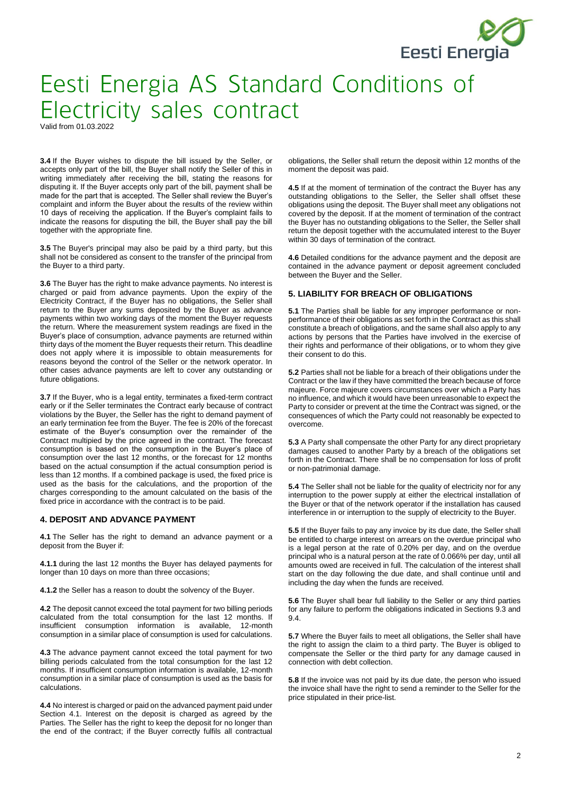

Valid from 01.03.2022

**3.4** If the Buyer wishes to dispute the bill issued by the Seller, or accepts only part of the bill, the Buyer shall notify the Seller of this in writing immediately after receiving the bill, stating the reasons for disputing it. If the Buyer accepts only part of the bill, payment shall be made for the part that is accepted. The Seller shall review the Buyer's complaint and inform the Buyer about the results of the review within 10 days of receiving the application. If the Buyer's complaint fails to indicate the reasons for disputing the bill, the Buyer shall pay the bill together with the appropriate fine.

**3.5** The Buyer's principal may also be paid by a third party, but this shall not be considered as consent to the transfer of the principal from the Buyer to a third party.

**3.6** The Buyer has the right to make advance payments. No interest is charged or paid from advance payments. Upon the expiry of the Electricity Contract, if the Buyer has no obligations, the Seller shall return to the Buyer any sums deposited by the Buyer as advance payments within two working days of the moment the Buyer requests the return. Where the measurement system readings are fixed in the Buyer's place of consumption, advance payments are returned within thirty days of the moment the Buyer requests their return. This deadline does not apply where it is impossible to obtain measurements for reasons beyond the control of the Seller or the network operator. In other cases advance payments are left to cover any outstanding or future obligations.

**3.7** If the Buyer, who is a legal entity, terminates a fixed-term contract early or if the Seller terminates the Contract early because of contract violations by the Buyer, the Seller has the right to demand payment of an early termination fee from the Buyer. The fee is 20% of the forecast estimate of the Buyer's consumption over the remainder of the Contract multipied by the price agreed in the contract. The forecast consumption is based on the consumption in the Buyer's place of consumption over the last 12 months, or the forecast for 12 months based on the actual consumption if the actual consumption period is less than 12 months. If a combined package is used, the fixed price is used as the basis for the calculations, and the proportion of the charges corresponding to the amount calculated on the basis of the fixed price in accordance with the contract is to be paid.

#### **4. DEPOSIT AND ADVANCE PAYMENT**

**4.1** The Seller has the right to demand an advance payment or a deposit from the Buyer if:

**4.1.1** during the last 12 months the Buyer has delayed payments for longer than 10 days on more than three occasions;

**4.1.2** the Seller has a reason to doubt the solvency of the Buyer.

**4.2** The deposit cannot exceed the total payment for two billing periods calculated from the total consumption for the last 12 months. If insufficient consumption information is available, 12-month consumption in a similar place of consumption is used for calculations.

**4.3** The advance payment cannot exceed the total payment for two billing periods calculated from the total consumption for the last 12 months. If insufficient consumption information is available, 12-month consumption in a similar place of consumption is used as the basis for calculations.

**4.4** No interest is charged or paid on the advanced payment paid under Section 4.1. Interest on the deposit is charged as agreed by the Parties. The Seller has the right to keep the deposit for no longer than the end of the contract; if the Buyer correctly fulfils all contractual obligations, the Seller shall return the deposit within 12 months of the moment the deposit was paid.

**4.5** If at the moment of termination of the contract the Buyer has any outstanding obligations to the Seller, the Seller shall offset these obligations using the deposit. The Buyer shall meet any obligations not covered by the deposit. If at the moment of termination of the contract the Buyer has no outstanding obligations to the Seller, the Seller shall return the deposit together with the accumulated interest to the Buyer within 30 days of termination of the contract.

**4.6** Detailed conditions for the advance payment and the deposit are contained in the advance payment or deposit agreement concluded between the Buyer and the Seller.

#### **5. LIABILITY FOR BREACH OF OBLIGATIONS**

**5.1** The Parties shall be liable for any improper performance or nonperformance of their obligations as set forth in the Contract as this shall constitute a breach of obligations, and the same shall also apply to any actions by persons that the Parties have involved in the exercise of their rights and performance of their obligations, or to whom they give their consent to do this.

**5.2** Parties shall not be liable for a breach of their obligations under the Contract or the law if they have committed the breach because of force majeure. Force majeure covers circumstances over which a Party has no influence, and which it would have been unreasonable to expect the Party to consider or prevent at the time the Contract was signed, or the consequences of which the Party could not reasonably be expected to overcome.

**5.3** A Party shall compensate the other Party for any direct proprietary damages caused to another Party by a breach of the obligations set forth in the Contract. There shall be no compensation for loss of profit or non-patrimonial damage.

**5.4** The Seller shall not be liable for the quality of electricity nor for any interruption to the power supply at either the electrical installation of the Buyer or that of the network operator if the installation has caused interference in or interruption to the supply of electricity to the Buyer.

**5.5** If the Buyer fails to pay any invoice by its due date, the Seller shall be entitled to charge interest on arrears on the overdue principal who is a legal person at the rate of 0.20% per day, and on the overdue principal who is a natural person at the rate of 0.066% per day, until all amounts owed are received in full. The calculation of the interest shall start on the day following the due date, and shall continue until and including the day when the funds are received.

**5.6** The Buyer shall bear full liability to the Seller or any third parties for any failure to perform the obligations indicated in Sections 9.3 and 9.4.

**5.7** Where the Buyer fails to meet all obligations, the Seller shall have the right to assign the claim to a third party. The Buyer is obliged to compensate the Seller or the third party for any damage caused in connection with debt collection.

**5.8** If the invoice was not paid by its due date, the person who issued the invoice shall have the right to send a reminder to the Seller for the price stipulated in their price-list.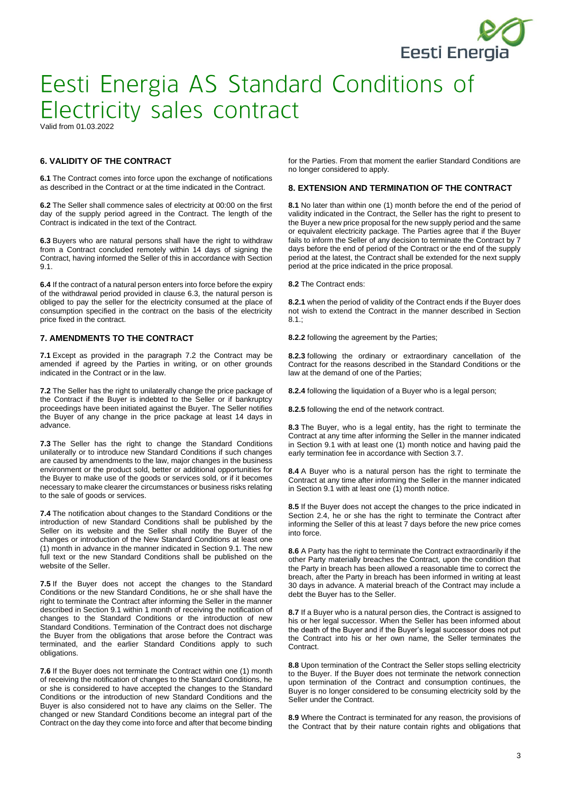

Valid from 01.03.2022

### **6. VALIDITY OF THE CONTRACT**

**6.1** The Contract comes into force upon the exchange of notifications as described in the Contract or at the time indicated in the Contract.

**6.2** The Seller shall commence sales of electricity at 00:00 on the first day of the supply period agreed in the Contract. The length of the Contract is indicated in the text of the Contract.

**6.3** Buyers who are natural persons shall have the right to withdraw from a Contract concluded remotely within 14 days of signing the Contract, having informed the Seller of this in accordance with Section 9.1.

**6.4** If the contract of a natural person enters into force before the expiry of the withdrawal period provided in clause 6.3, the natural person is obliged to pay the seller for the electricity consumed at the place of consumption specified in the contract on the basis of the electricity price fixed in the contract.

#### **7. AMENDMENTS TO THE CONTRACT**

**7.1** Except as provided in the paragraph 7.2 the Contract may be amended if agreed by the Parties in writing, or on other grounds indicated in the Contract or in the law.

**7.2** The Seller has the right to unilaterally change the price package of the Contract if the Buyer is indebted to the Seller or if bankruptcy proceedings have been initiated against the Buyer. The Seller notifies the Buyer of any change in the price package at least 14 days in advance.

**7.3** The Seller has the right to change the Standard Conditions unilaterally or to introduce new Standard Conditions if such changes are caused by amendments to the law, major changes in the business environment or the product sold, better or additional opportunities for the Buyer to make use of the goods or services sold, or if it becomes necessary to make clearer the circumstances or business risks relating to the sale of goods or services.

**7.4** The notification about changes to the Standard Conditions or the introduction of new Standard Conditions shall be published by the Seller on its website and the Seller shall notify the Buyer of the changes or introduction of the New Standard Conditions at least one (1) month in advance in the manner indicated in Section 9.1. The new full text or the new Standard Conditions shall be published on the website of the Seller.

**7.5** If the Buyer does not accept the changes to the Standard Conditions or the new Standard Conditions, he or she shall have the right to terminate the Contract after informing the Seller in the manner described in Section 9.1 within 1 month of receiving the notification of changes to the Standard Conditions or the introduction of new Standard Conditions. Termination of the Contract does not discharge the Buyer from the obligations that arose before the Contract was terminated, and the earlier Standard Conditions apply to such obligations.

**7.6** If the Buyer does not terminate the Contract within one (1) month of receiving the notification of changes to the Standard Conditions, he or she is considered to have accepted the changes to the Standard Conditions or the introduction of new Standard Conditions and the Buyer is also considered not to have any claims on the Seller. The changed or new Standard Conditions become an integral part of the Contract on the day they come into force and after that become binding

for the Parties. From that moment the earlier Standard Conditions are no longer considered to apply.

#### **8. EXTENSION AND TERMINATION OF THE CONTRACT**

**8.1** No later than within one (1) month before the end of the period of validity indicated in the Contract, the Seller has the right to present to the Buyer a new price proposal for the new supply period and the same or equivalent electricity package. The Parties agree that if the Buyer fails to inform the Seller of any decision to terminate the Contract by 7 days before the end of period of the Contract or the end of the supply period at the latest, the Contract shall be extended for the next supply period at the price indicated in the price proposal.

**8.2** The Contract ends:

**8.2.1** when the period of validity of the Contract ends if the Buyer does not wish to extend the Contract in the manner described in Section  $8.1.$ 

**8.2.2** following the agreement by the Parties;

**8.2.3** following the ordinary or extraordinary cancellation of the Contract for the reasons described in the Standard Conditions or the law at the demand of one of the Parties;

**8.2.4** following the liquidation of a Buyer who is a legal person;

**8.2.5** following the end of the network contract.

**8.3** The Buyer, who is a legal entity, has the right to terminate the Contract at any time after informing the Seller in the manner indicated in Section 9.1 with at least one (1) month notice and having paid the early termination fee in accordance with Section 3.7.

**8.4** A Buyer who is a natural person has the right to terminate the Contract at any time after informing the Seller in the manner indicated in Section 9.1 with at least one (1) month notice.

**8.5** If the Buyer does not accept the changes to the price indicated in Section 2.4, he or she has the right to terminate the Contract after informing the Seller of this at least 7 days before the new price comes into force.

**8.6** A Party has the right to terminate the Contract extraordinarily if the other Party materially breaches the Contract, upon the condition that the Party in breach has been allowed a reasonable time to correct the breach, after the Party in breach has been informed in writing at least 30 days in advance. A material breach of the Contract may include a debt the Buyer has to the Seller.

**8.7** If a Buyer who is a natural person dies, the Contract is assigned to his or her legal successor. When the Seller has been informed about the death of the Buyer and if the Buyer's legal successor does not put the Contract into his or her own name, the Seller terminates the Contract.

**8.8** Upon termination of the Contract the Seller stops selling electricity to the Buyer. If the Buyer does not terminate the network connection upon termination of the Contract and consumption continues, the Buyer is no longer considered to be consuming electricity sold by the Seller under the Contract.

**8.9** Where the Contract is terminated for any reason, the provisions of the Contract that by their nature contain rights and obligations that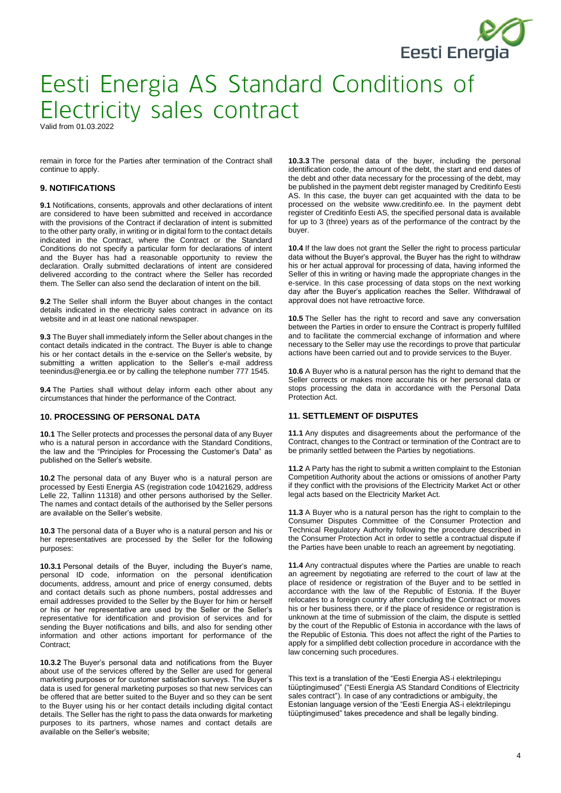

Valid from 01.03.2022

remain in force for the Parties after termination of the Contract shall continue to apply.

#### **9. NOTIFICATIONS**

**9.1** Notifications, consents, approvals and other declarations of intent are considered to have been submitted and received in accordance with the provisions of the Contract if declaration of intent is submitted to the other party orally, in writing or in digital form to the contact details indicated in the Contract, where the Contract or the Standard Conditions do not specify a particular form for declarations of intent and the Buyer has had a reasonable opportunity to review the declaration. Orally submitted declarations of intent are considered delivered according to the contract where the Seller has recorded them. The Seller can also send the declaration of intent on the bill.

**9.2** The Seller shall inform the Buyer about changes in the contact details indicated in the electricity sales contract in advance on its website and in at least one national newspaper.

**9.3** The Buyer shall immediately inform the Seller about changes in the contact details indicated in the contract. The Buyer is able to change his or her contact details in the e-service on the Seller's website, by submitting a written application to the Seller's e-mail address teenindus@energia.ee or by calling the telephone number 777 1545.

**9.4** The Parties shall without delay inform each other about any circumstances that hinder the performance of the Contract.

#### **10. PROCESSING OF PERSONAL DATA**

**10.1** The Seller protects and processes the personal data of any Buyer who is a natural person in accordance with the Standard Conditions, the law and the "Principles for Processing the Customer's Data" as published on the Seller's website.

**10.2** The personal data of any Buyer who is a natural person are processed by Eesti Energia AS (registration code 10421629, address Lelle 22, Tallinn 11318) and other persons authorised by the Seller. The names and contact details of the authorised by the Seller persons are available on the Seller's website.

**10.3** The personal data of a Buyer who is a natural person and his or her representatives are processed by the Seller for the following purposes:

**10.3.1** Personal details of the Buyer, including the Buyer's name, personal ID code, information on the personal identification documents, address, amount and price of energy consumed, debts and contact details such as phone numbers, postal addresses and email addresses provided to the Seller by the Buyer for him or herself or his or her representative are used by the Seller or the Seller's representative for identification and provision of services and for sending the Buyer notifications and bills, and also for sending other information and other actions important for performance of the Contract;

**10.3.2** The Buyer's personal data and notifications from the Buyer about use of the services offered by the Seller are used for general marketing purposes or for customer satisfaction surveys. The Buyer's data is used for general marketing purposes so that new services can be offered that are better suited to the Buyer and so they can be sent to the Buyer using his or her contact details including digital contact details. The Seller has the right to pass the data onwards for marketing purposes to its partners, whose names and contact details are available on the Seller's website;

**10.3.3** The personal data of the buyer, including the personal identification code, the amount of the debt, the start and end dates of the debt and other data necessary for the processing of the debt, may be published in the payment debt register managed by Creditinfo Eesti AS. In this case, the buyer can get acquainted with the data to be processed on the website www.creditinfo.ee. In the payment debt register of Creditinfo Eesti AS, the specified personal data is available for up to 3 (three) years as of the performance of the contract by the buyer.

**10.4** If the law does not grant the Seller the right to process particular data without the Buyer's approval, the Buyer has the right to withdraw his or her actual approval for processing of data, having informed the Seller of this in writing or having made the appropriate changes in the e-service. In this case processing of data stops on the next working day after the Buyer's application reaches the Seller. Withdrawal of approval does not have retroactive force.

**10.5** The Seller has the right to record and save any conversation between the Parties in order to ensure the Contract is properly fulfilled and to facilitate the commercial exchange of information and where necessary to the Seller may use the recordings to prove that particular actions have been carried out and to provide services to the Buyer.

**10.6** A Buyer who is a natural person has the right to demand that the Seller corrects or makes more accurate his or her personal data or stops processing the data in accordance with the Personal Data Protection Act.

#### **11. SETTLEMENT OF DISPUTES**

**11.1** Any disputes and disagreements about the performance of the Contract, changes to the Contract or termination of the Contract are to be primarily settled between the Parties by negotiations.

**11.2** A Party has the right to submit a written complaint to the Estonian Competition Authority about the actions or omissions of another Party if they conflict with the provisions of the Electricity Market Act or other legal acts based on the Electricity Market Act.

**11.3** A Buyer who is a natural person has the right to complain to the Consumer Disputes Committee of the Consumer Protection and Technical Regulatory Authority following the procedure described in the Consumer Protection Act in order to settle a contractual dispute if the Parties have been unable to reach an agreement by negotiating.

**11.4** Any contractual disputes where the Parties are unable to reach an agreement by negotiating are referred to the court of law at the place of residence or registration of the Buyer and to be settled in accordance with the law of the Republic of Estonia. If the Buyer relocates to a foreign country after concluding the Contract or moves his or her business there, or if the place of residence or registration is unknown at the time of submission of the claim, the dispute is settled by the court of the Republic of Estonia in accordance with the laws of the Republic of Estonia. This does not affect the right of the Parties to apply for a simplified debt collection procedure in accordance with the law concerning such procedures.

This text is a translation of the "Eesti Energia AS-i elektrilepingu tüüptingimused" ("Eesti Energia AS Standard Conditions of Electricity sales contract"). In case of any contradictions or ambiguity, the Estonian language version of the "Eesti Energia AS-i elektrilepingu tüüptingimused" takes precedence and shall be legally binding.